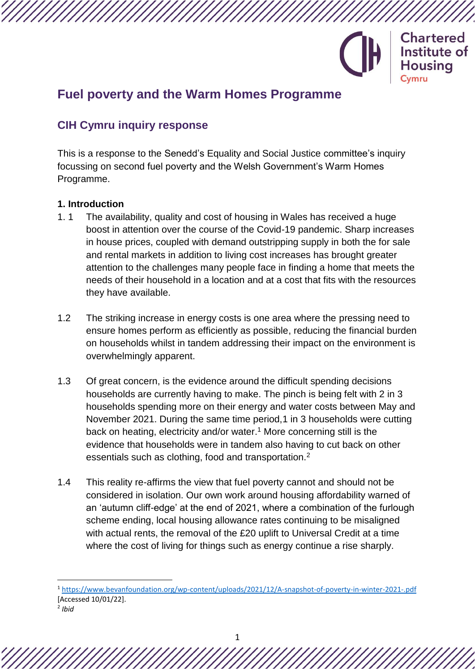

## **Fuel poverty and the Warm Homes Programme**

### **CIH Cymru inquiry response**

This is a response to the Senedd's Equality and Social Justice committee's inquiry focussing on second fuel poverty and the Welsh Government's Warm Homes Programme.

#### **1. Introduction**

- 1. 1 The availability, quality and cost of housing in Wales has received a huge boost in attention over the course of the Covid-19 pandemic. Sharp increases in house prices, coupled with demand outstripping supply in both the for sale and rental markets in addition to living cost increases has brought greater attention to the challenges many people face in finding a home that meets the needs of their household in a location and at a cost that fits with the resources they have available.
- 1.2 The striking increase in energy costs is one area where the pressing need to ensure homes perform as efficiently as possible, reducing the financial burden on households whilst in tandem addressing their impact on the environment is overwhelmingly apparent.
- 1.3 Of great concern, is the evidence around the difficult spending decisions households are currently having to make. The pinch is being felt with 2 in 3 households spending more on their energy and water costs between May and November 2021. During the same time period,1 in 3 households were cutting back on heating, electricity and/or water.<sup>1</sup> More concerning still is the evidence that households were in tandem also having to cut back on other essentials such as clothing, food and transportation.<sup>2</sup>
- 1.4 This reality re-affirms the view that fuel poverty cannot and should not be considered in isolation. Our own work around housing affordability warned of an 'autumn cliff-edge' at the end of 2021, where a combination of the furlough scheme ending, local housing allowance rates continuing to be misaligned with actual rents, the removal of the £20 uplift to Universal Credit at a time where the cost of living for things such as energy continue a rise sharply.

1

<sup>1</sup> <https://www.bevanfoundation.org/wp-content/uploads/2021/12/A-snapshot-of-poverty-in-winter-2021-.pdf> [Accessed 10/01/22].

<sup>2</sup> *Ibid*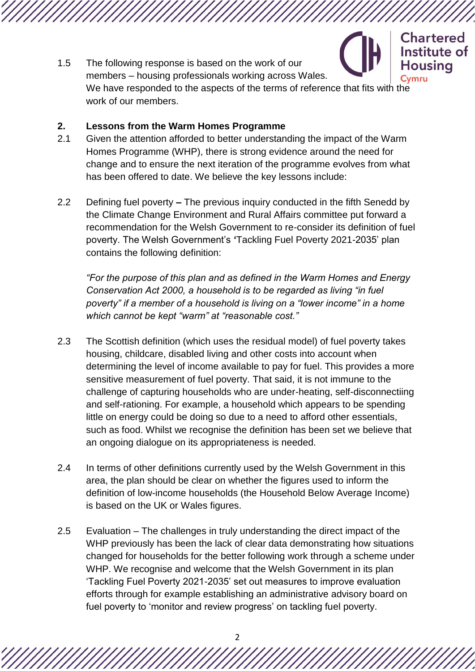Institute of 1.5 The following response is based on the work of our **Housing** members – housing professionals working across Wales. Cvmru We have responded to the aspects of the terms of reference that fits with the work of our members.

**Chartered** 

#### **2. Lessons from the Warm Homes Programme**

- 2.1 Given the attention afforded to better understanding the impact of the Warm Homes Programme (WHP), there is strong evidence around the need for change and to ensure the next iteration of the programme evolves from what has been offered to date. We believe the key lessons include:
- 2.2 Defining fuel poverty **–** The previous inquiry conducted in the fifth Senedd by the Climate Change Environment and Rural Affairs committee put forward a recommendation for the Welsh Government to re-consider its definition of fuel poverty. The Welsh Government's **'**Tackling Fuel Poverty 2021-2035' plan contains the following definition:

*"For the purpose of this plan and as defined in the Warm Homes and Energy Conservation Act 2000, a household is to be regarded as living "in fuel poverty" if a member of a household is living on a "lower income" in a home which cannot be kept "warm" at "reasonable cost."* 

- 2.3 The Scottish definition (which uses the residual model) of fuel poverty takes housing, childcare, disabled living and other costs into account when determining the level of income available to pay for fuel. This provides a more sensitive measurement of fuel poverty. That said, it is not immune to the challenge of capturing households who are under-heating, self-disconnectiing and self-rationing. For example, a household which appears to be spending little on energy could be doing so due to a need to afford other essentials, such as food. Whilst we recognise the definition has been set we believe that an ongoing dialogue on its appropriateness is needed.
- 2.4 In terms of other definitions currently used by the Welsh Government in this area, the plan should be clear on whether the figures used to inform the definition of low-income households (the Household Below Average Income) is based on the UK or Wales figures.
- 2.5 Evaluation The challenges in truly understanding the direct impact of the WHP previously has been the lack of clear data demonstrating how situations changed for households for the better following work through a scheme under WHP. We recognise and welcome that the Welsh Government in its plan 'Tackling Fuel Poverty 2021-2035' set out measures to improve evaluation efforts through for example establishing an administrative advisory board on fuel poverty to 'monitor and review progress' on tackling fuel poverty.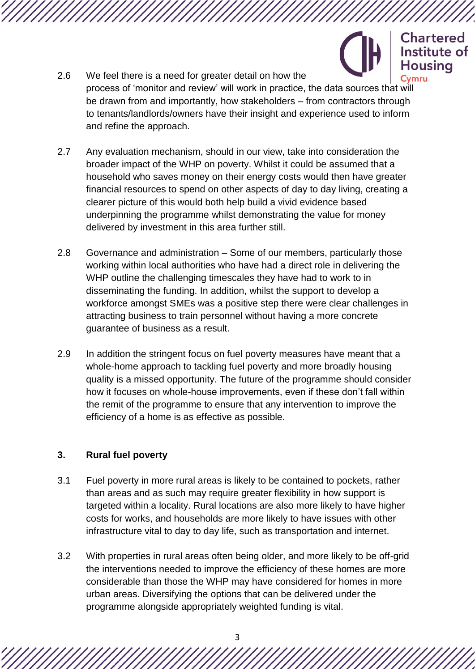# **Chartered** Institute of **Housing**

- 2.6 We feel there is a need for greater detail on how the process of 'monitor and review' will work in practice, the data sources that will be drawn from and importantly, how stakeholders – from contractors through to tenants/landlords/owners have their insight and experience used to inform and refine the approach.
- 2.7 Any evaluation mechanism, should in our view, take into consideration the broader impact of the WHP on poverty. Whilst it could be assumed that a household who saves money on their energy costs would then have greater financial resources to spend on other aspects of day to day living, creating a clearer picture of this would both help build a vivid evidence based underpinning the programme whilst demonstrating the value for money delivered by investment in this area further still.
- 2.8 Governance and administration Some of our members, particularly those working within local authorities who have had a direct role in delivering the WHP outline the challenging timescales they have had to work to in disseminating the funding. In addition, whilst the support to develop a workforce amongst SMEs was a positive step there were clear challenges in attracting business to train personnel without having a more concrete guarantee of business as a result.
- 2.9 In addition the stringent focus on fuel poverty measures have meant that a whole-home approach to tackling fuel poverty and more broadly housing quality is a missed opportunity. The future of the programme should consider how it focuses on whole-house improvements, even if these don't fall within the remit of the programme to ensure that any intervention to improve the efficiency of a home is as effective as possible.

#### **3. Rural fuel poverty**

- 3.1 Fuel poverty in more rural areas is likely to be contained to pockets, rather than areas and as such may require greater flexibility in how support is targeted within a locality. Rural locations are also more likely to have higher costs for works, and households are more likely to have issues with other infrastructure vital to day to day life, such as transportation and internet.
- 3.2 With properties in rural areas often being older, and more likely to be off-grid the interventions needed to improve the efficiency of these homes are more considerable than those the WHP may have considered for homes in more urban areas. Diversifying the options that can be delivered under the programme alongside appropriately weighted funding is vital.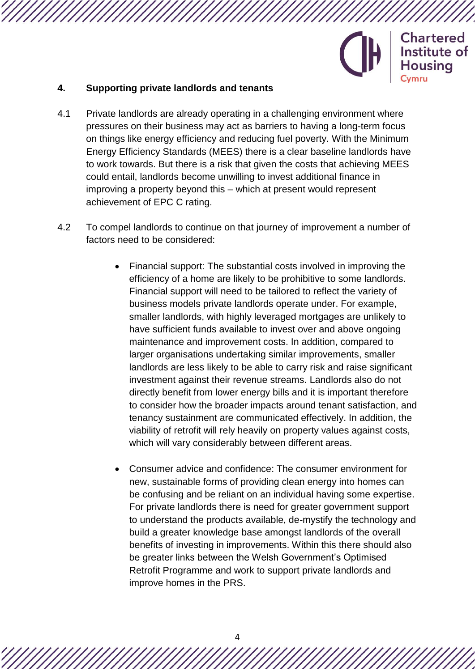

#### **4. Supporting private landlords and tenants**

- 4.1 Private landlords are already operating in a challenging environment where pressures on their business may act as barriers to having a long-term focus on things like energy efficiency and reducing fuel poverty. With the Minimum Energy Efficiency Standards (MEES) there is a clear baseline landlords have to work towards. But there is a risk that given the costs that achieving MEES could entail, landlords become unwilling to invest additional finance in improving a property beyond this – which at present would represent achievement of EPC C rating.
- 4.2 To compel landlords to continue on that journey of improvement a number of factors need to be considered:
	- Financial support: The substantial costs involved in improving the efficiency of a home are likely to be prohibitive to some landlords. Financial support will need to be tailored to reflect the variety of business models private landlords operate under. For example, smaller landlords, with highly leveraged mortgages are unlikely to have sufficient funds available to invest over and above ongoing maintenance and improvement costs. In addition, compared to larger organisations undertaking similar improvements, smaller landlords are less likely to be able to carry risk and raise significant investment against their revenue streams. Landlords also do not directly benefit from lower energy bills and it is important therefore to consider how the broader impacts around tenant satisfaction, and tenancy sustainment are communicated effectively. In addition, the viability of retrofit will rely heavily on property values against costs, which will vary considerably between different areas.
	- Consumer advice and confidence: The consumer environment for new, sustainable forms of providing clean energy into homes can be confusing and be reliant on an individual having some expertise. For private landlords there is need for greater government support to understand the products available, de-mystify the technology and build a greater knowledge base amongst landlords of the overall benefits of investing in improvements. Within this there should also be greater links between the Welsh Government's Optimised Retrofit Programme and work to support private landlords and improve homes in the PRS.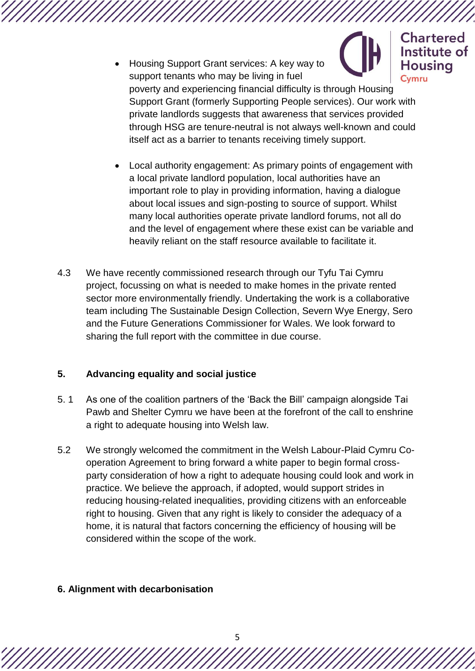Institute of Housing Support Grant services: A key way to **Housing** support tenants who may be living in fuel Cvmru poverty and experiencing financial difficulty is through Housing Support Grant (formerly Supporting People services). Our work with private landlords suggests that awareness that services provided through HSG are tenure-neutral is not always well-known and could itself act as a barrier to tenants receiving timely support.

**Chartered** 

- Local authority engagement: As primary points of engagement with a local private landlord population, local authorities have an important role to play in providing information, having a dialogue about local issues and sign-posting to source of support. Whilst many local authorities operate private landlord forums, not all do and the level of engagement where these exist can be variable and heavily reliant on the staff resource available to facilitate it.
- 4.3 We have recently commissioned research through our Tyfu Tai Cymru project, focussing on what is needed to make homes in the private rented sector more environmentally friendly. Undertaking the work is a collaborative team including The Sustainable Design Collection, Severn Wye Energy, Sero and the Future Generations Commissioner for Wales. We look forward to sharing the full report with the committee in due course.

#### **5. Advancing equality and social justice**

- 5. 1 As one of the coalition partners of the 'Back the Bill' campaign alongside Tai Pawb and Shelter Cymru we have been at the forefront of the call to enshrine a right to adequate housing into Welsh law.
- 5.2 We strongly welcomed the commitment in the Welsh Labour-Plaid Cymru Cooperation Agreement to bring forward a white paper to begin formal crossparty consideration of how a right to adequate housing could look and work in practice. We believe the approach, if adopted, would support strides in reducing housing-related inequalities, providing citizens with an enforceable right to housing. Given that any right is likely to consider the adequacy of a home, it is natural that factors concerning the efficiency of housing will be considered within the scope of the work.

#### **6. Alignment with decarbonisation**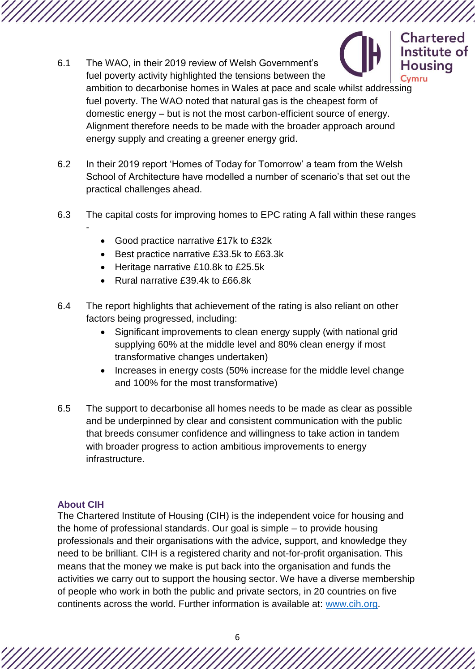

- 6.1 The WAO, in their 2019 review of Welsh Government's fuel poverty activity highlighted the tensions between the ambition to decarbonise homes in Wales at pace and scale whilst addressing fuel poverty. The WAO noted that natural gas is the cheapest form of domestic energy – but is not the most carbon-efficient source of energy. Alignment therefore needs to be made with the broader approach around energy supply and creating a greener energy grid.
- 6.2 In their 2019 report 'Homes of Today for Tomorrow' a team from the Welsh School of Architecture have modelled a number of scenario's that set out the practical challenges ahead.
- 6.3 The capital costs for improving homes to EPC rating A fall within these ranges -
	- Good practice narrative £17k to £32k
	- Best practice narrative £33.5k to £63.3k
	- Heritage narrative £10.8k to £25.5k
	- Rural narrative £39.4k to £66.8k
- 6.4 The report highlights that achievement of the rating is also reliant on other factors being progressed, including:
	- Significant improvements to clean energy supply (with national grid supplying 60% at the middle level and 80% clean energy if most transformative changes undertaken)
	- Increases in energy costs (50% increase for the middle level change and 100% for the most transformative)
- 6.5 The support to decarbonise all homes needs to be made as clear as possible and be underpinned by clear and consistent communication with the public that breeds consumer confidence and willingness to take action in tandem with broader progress to action ambitious improvements to energy infrastructure.

#### **About CIH**

The Chartered Institute of Housing (CIH) is the independent voice for housing and the home of professional standards. Our goal is simple – to provide housing professionals and their organisations with the advice, support, and knowledge they need to be brilliant. CIH is a registered charity and not-for-profit organisation. This means that the money we make is put back into the organisation and funds the activities we carry out to support the housing sector. We have a diverse membership of people who work in both the public and private sectors, in 20 countries on five continents across the world. Further information is available at: [www.cih.org.](http://www.cih.org/)